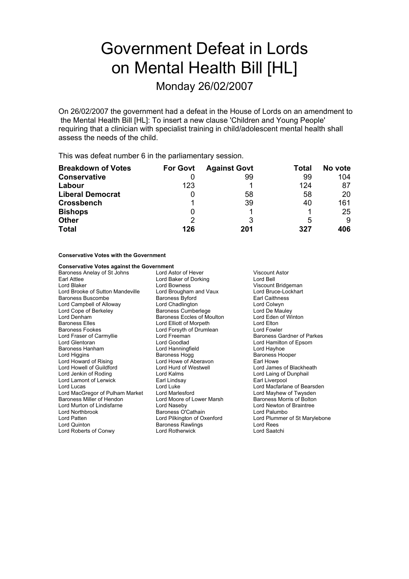# Government Defeat in Lords on Mental Health Bill [HL]

Monday 26/02/2007

On 26/02/2007 the government had a defeat in the House of Lords on an amendment to the Mental Health Bill [HL]: To insert a new clause 'Children and Young People' requiring that a clinician with specialist training in child/adolescent mental health shall assess the needs of the child.

This was defeat number 6 in the parliamentary session.

| <b>Breakdown of Votes</b> | <b>For Govt</b> | <b>Against Govt</b> | Total | No vote |
|---------------------------|-----------------|---------------------|-------|---------|
| <b>Conservative</b>       |                 | 99                  | 99    | 104     |
| Labour                    | 123             |                     | 124   | 87      |
| <b>Liberal Democrat</b>   | Ü               | 58                  | 58    | 20      |
| <b>Crossbench</b>         |                 | 39                  | 40    | 161     |
| <b>Bishops</b>            | Ü               |                     |       | 25      |
| <b>Other</b>              | 2               |                     | 5     | 9       |
| <b>Total</b>              | 126             | 201                 | 327   | 406     |

#### **Conservative Votes with the Government**

## **Conservative Votes against the Government**<br>Baroness Anelay of St Johns **Lord Astor of Hever**

Baroness Anelay of St Johns Lord Astor of Hever Viscount Astor Earl Attlee **Lord Baker of Dorking** Cord Bell<br>
Lord Blaker **Cord Books**<br>
Lord Bowness<br>
Lord Bowness Lord Brooke of Sutton Mandeville Lord Brougham and Vaux Lord Bruce-Lockhart Cord Bruce-Lockhart Browness Byford Caithness Baroness Buscombe Baroness Byford Lord Campbell of Alloway Lord Chadlington Colomber 2016 Lord Colwyn<br>
Lord Cope of Berkeley Baroness Cumberlege Cumber Lord De Mauley Lord Cope of Berkeley **Baroness Cumberlege**<br>
Lord Denham<br>
Baroness Eccles of Mou Baroness Elles Lord Elliott of Morpeth Lord Elton Baroness Fookes **Lord Forsyth of Drumlean**<br>
Lord Fraser of Carmyllie **Lord Freeman** Lord Fraser of Carmyllie **Lord Freeman** Baroness Gardner of Parkes<br>
Lord Glentoran **Baroness Carmyllie** Lord Goodlad **Baroness Carmyllie** Lord Glentoran **Baroness** Carmyllie Baroness Hanham Lord Hanningfield Lord Hayhoe Lord Howard of Rising Lord Howe of Aberavon Lord Howell of Guildford Lord Hurd of Westwell Lord James of Blackheath Lord Jenkin of Roding **Lord Kalms** Lord Kalms Lord Laing of Dunphail<br>
Lord Lamont of Lerwick **Lord Laing Lord Laing Constant Lord Liverpool** Lord Lamont of Lerwick Earl Linds<br>Lord Lucas Nord Luke Lord MacGregor of Pulham Market Lord Marlesford Lord Mayhew of Twysden Baroness Miller of Hendon Lord Moore of Lower Marsh Baroness Morris of Bolton Lord Murton of Lindisfarne Lord Naseby Lord Murton of Lindisfarne Lord Naseby Lord Newton of Lindisfarne Lord Newton of Braintee Lord Newton of Brain<br>Lord Northbrook **Raintee Lord Newton of Branches Of Cathain** Lord Marten of Emaleland Baroness O'Cathain Lord Northbrook Baroness O'Cathain Lord Patten Lord Pilkington of Oxenford Lord Plummer of St Marylebone Lord Roberts of Conwy Lord Rotherwick Lord Saatchi

Lord Bowness<br>
Lord Brougham and Vaux<br>
Lord Bruce-Lockhart Baroness Eccles of Moulton Lord Eden of Winton Lord Goodlad **Lord Hamilton of Epsom**<br>
Lord Hamingfield **Lord Hayhoe** Baroness Hogg Baroness Rawlings

Lord Macfarlane of Bearsden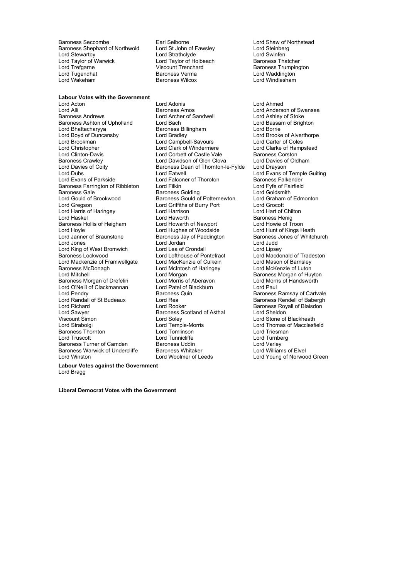Baroness Seccombe Earl Selborne Carl Selborne<br>
Baroness Shephard of Northwold Lord St John of Fawsley Lord Steinberg Baroness Shephard of Northwold Lord St John of Fawsley **Lord Steinberg**<br>
Lord Strathclyde Lord Strathclyde Lord Strathclyde Lord Strathclyde Lord Stewartby Lord Strathclyde Lord Strathclyde Lord Swinfen<br>
Lord Taylor of Warwick Lord Taylor of Holbeach Baroness Thatcher Lord Taylor of Warwick Lord Taylor of Holbeach<br>
Lord Trefgarne **Baroness Thatcher Thatcher** Viscount Trenchard Lord Trefgarne **Viscount Trenchard** Baroness Trumpington<br>
Lord Tugendhat Baroness Verma Lord Waddington Lord Tugendhat Baroness Verma Lord Waddington

**Labour Votes with the Government** Lord Acton Lord Adonis Lord Ahmed Lord Alli **Communist Communist Baroness Amos** Cord Anderson of Swansea<br>
Baroness Andrews **Lord Anderson Communist Communist Communist Communist Communist Communist Communist Communist** Baroness Ashton of Upholland Lord Bach Lord Bach Lord Bassam of Brighton<br>
Lord Bhattacharyya **Communist Baroness Billingham** Lord Borrie Lord Bhattacharyya **Baroness Bill**<br>
Lord Boyd of Duncansby **Baroness Lord Bradley** Lord Boyd of Duncansby **Lord Bradley** Lord Bradley **Lord Brooke of Alverthorpe**<br>
Lord Brookman **Lord Campbell-Savours** Lord Carter of Coles Lord Christopher **Lord Clark of Windermere** Lord Clarke of Hampstead<br>
Lord Clinton-Davis **Lord Corbett of Castle Vale** Baroness Corston Lord Clinton-Davis **Lord Corbett of Castle Vale** Baroness Corston **Corporation Corporation**<br>Baroness Crawley **Baroness Crawley** Lord Davidson of Glen Clova Lord Davies of Oldham Baroness Crawley **Lord Davidson of Glen Clova**<br>
Lord Davies of Coity **Communist Condomic Baroness Dean of Thornton-I** Lord Dubs<br>
Lord Dubs Lord Evans of Parkside Lord Eatwell<br>
Lord Evans of Parkside Lord Falconer of Thoroton Baroness Falkender Baroness Farrington of Ribbleton Lord Filkin Lord Film Lord Fyfe of Faircroness Gale Coldsmith Baroness Gale Baroness Colding Lord Goldsmith<br>Lord Goldsmith Baroness Golding Lord Goldsmith<br>Lord Gould of Brookwood Baroness Gould of Potternewton Lord Graham of Edmonton Lord Gould of Brookwood Baroness Gould of Potternewton Lord Graham<br>Lord Greeson Lord Graham Elord Griffiths of Burry Port Lord Grocott Lord Harris of Haringey Lord Haskel Lord Haworth **Baroness Henig**<br>
Baroness Hollis of Heigham Lord Howarth of Newport Lord Howie of Troon Baroness Hollis of Heigham Lord Howarth of Newport Lord Howie of Troon<br>Lord Hoyle Lord Hughes of Woodside Lord Hunt of Kings Heath Lord Hoyle **Lord Hughes of Woodside** Lord Hunt of Kings Heath<br>
Lord Janner of Braunstone **Baroness Jay of Paddington** Baroness Jones of Whitchurch Lord Jones Lord Jordan Lord Judd Lord King of West Bromwich Lord Lea of Crondall<br>Baroness Lockwood Lord Lofthouse of Pontefract Lord Mackenzie of Framwellgate Lord MacKenzie of Culkein Lord Mason of Barnsley<br>
Lord McKenzie of Luton<br>
Lord McKenzie of Luton Baroness McDonagh **Exercise Control Control** Lord McIntosh of Haringey<br>
Lord Mitchell<br>
Lord Morgan Baroness Morgan of Drefelin Lord O'Neill of Clackmannan Lord Patel of Blackburn a Lord Paul<br>
Lord Pendry **Clackmannan** Baroness Quin a Lord Paroness Lord Randall of St Budeaux Lord Richard **Lord Rooker** Communication Communication Cord Research Cord Research Cord Research Cord Sheldon Cord Sheldon Cord Sheldon Cord Sheldon Cord Sheldon Cord Sheldon Cord Sheldon Cord Sheldon Cord Sheldon Cord She Lord Sawyer **Baroness Scotland of Asthal Lord Sawyer**<br>
Viscount Simon **Baroness Scotland of Asthal** Viscount Simon **Nation 2018** Lord Soley Norris Mark Lord Stone of Blackheath<br>
Lord Strabolgi **Lord Communication Communication**<br>
Lord Thomas of Macclesfi Baroness Thornton Lord Tomlinson Lord Triesman Baroness Turner of Camden Baroness Uddin For the Lord Varley<br>Baroness Turner of Camden Baroness Uddin Lord Varley<br>Baroness Warwick of Undercliffe Baroness Whitaker For Lord Williams of Elvel Baroness Warwick of Undercliffe Baroness Whitaker<br>Lord Winston Lord Woolmer of Leeds Lord Winston Lord Woolmer of Leeds Lord Young of Norwood Green **Labour Votes against the Government**

Lord Archer of Sandwell Lord Campbell-Savours<br>Lord Clark of Windermere Baroness Dean of Thornton-le-Fylde Lord Drayson Lord Falconer of Thoroton **Baroness Falkender**<br>Lord Filkin **Baroness Falkender** Lord Griffiths of Burry Port Lord Grocott<br>
Lord Harrison Lord Hart of Chilton Baroness Jay of Paddington Lord Morgan Baroness Morgan of Huyton<br>
Lord Morris of Aberavon<br>
Lord Morris of Handsworth Baroness Quin **Baroness Ramsay of Cartvale**<br>
Lord Rea **Baroness Rendell** of Babergh Lord Tunnicliffe Lord Turnberg<br>
Baroness Uddin Lord Varley

Lord Windlesham

Lord Macdonald of Tradeston Lord Thomas of Macclesfield

Lord Bragg

**Liberal Democrat Votes with the Government**